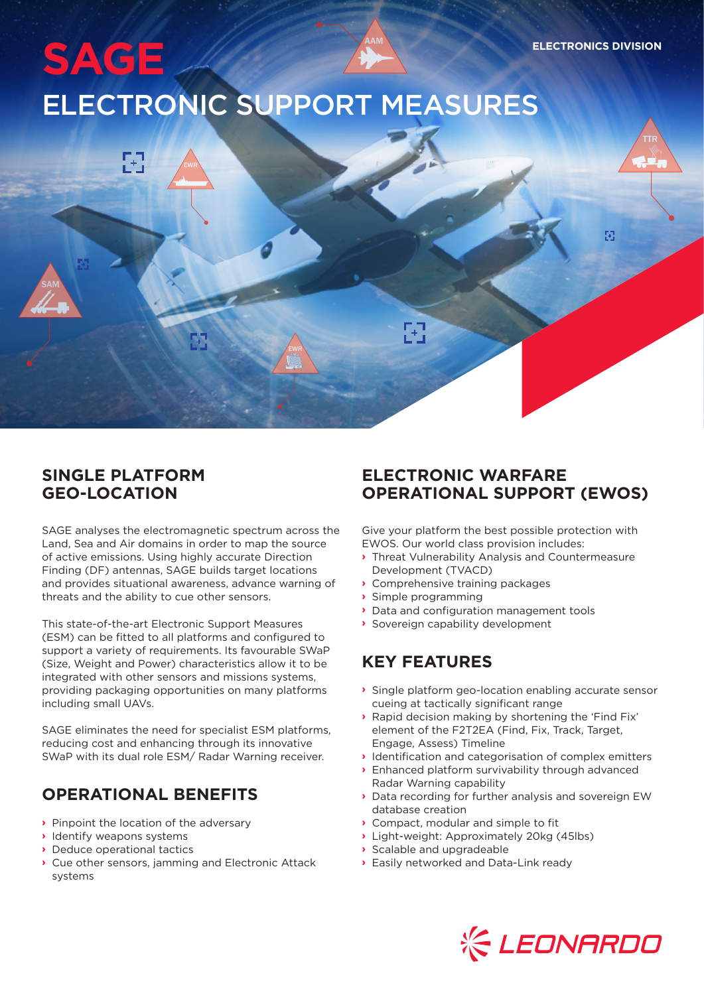81

SAM TTREET IN 1999 EN 1999 EN 1999 EN 1999 EN 1999 EN 1999 EN 1999 EN 1999 EN 1999 EN 1999 EN 1999 EN 1999 EN

# AAM **SAGE** ELECTRONIC SUPPORT MEASURES

#### **SINGLE PLATFORM GEO-LOCATION**

SAM TTRACK COMPANY OF THE COMPANY OF THE COMPANY OF THE COMPANY OF THE COMPANY OF THE COMPANY OF THE COMPANY OF THE COMPANY OF THE COMPANY OF THE COMPANY OF THE COMPANY OF THE COMPANY OF THE COMPANY OF THE COMPANY OF THE C

EWR EWR

SAGE analyses the electromagnetic spectrum across the Land, Sea and Air domains in order to map the source of active emissions. Using highly accurate Direction Finding (DF) antennas, SAGE builds target locations and provides situational awareness, advance warning of threats and the ability to cue other sensors.

This state-of-the-art Electronic Support Measures (ESM) can be fitted to all platforms and configured to support a variety of requirements. Its favourable SWaP (Size, Weight and Power) characteristics allow it to be integrated with other sensors and missions systems, providing packaging opportunities on many platforms including small UAVs.

SAGE eliminates the need for specialist ESM platforms, reducing cost and enhancing through its innovative SWaP with its dual role ESM/ Radar Warning receiver.

## **OPERATIONAL BENEFITS**

- **›** Pinpoint the location of the adversary
- **›** Identify weapons systems
- **›** Deduce operational tactics
- **›** Cue other sensors, jamming and Electronic Attack systems

#### **ELECTRONIC WARFARE OPERATIONAL SUPPORT (EWOS)**

Give your platform the best possible protection with EWOS. Our world class provision includes:

- **›** Threat Vulnerability Analysis and Countermeasure Development (TVACD)
- **›** Comprehensive training packages
- **›** Simple programming

EWR **EWR** 

區

- **›** Data and configuration management tools
- **›** Sovereign capability development

### **KEY FEATURES**

- **›** Single platform geo-location enabling accurate sensor cueing at tactically significant range
- **›** Rapid decision making by shortening the 'Find Fix' element of the F2T2EA (Find, Fix, Track, Target, Engage, Assess) Timeline
- **›** Identification and categorisation of complex emitters
- **›** Enhanced platform survivability through advanced Radar Warning capability
- **›** Data recording for further analysis and sovereign EW database creation
- **›** Compact, modular and simple to fit
- **›** Light-weight: Approximately 20kg (45lbs)
- **›** Scalable and upgradeable
- **›** Easily networked and Data-Link ready